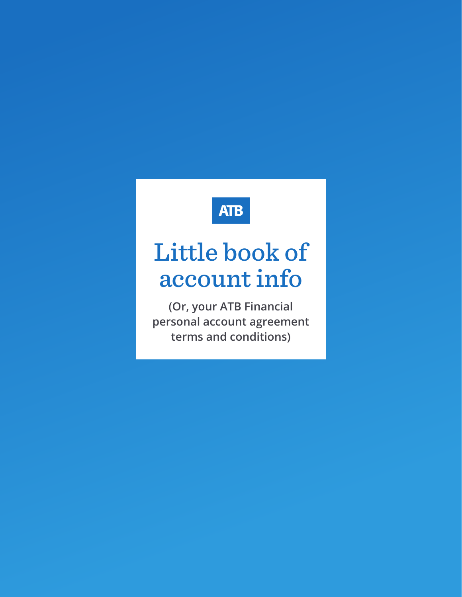# **ATB**

# Little book of account info

**(Or, your ATB Financial personal account agreement terms and conditions)**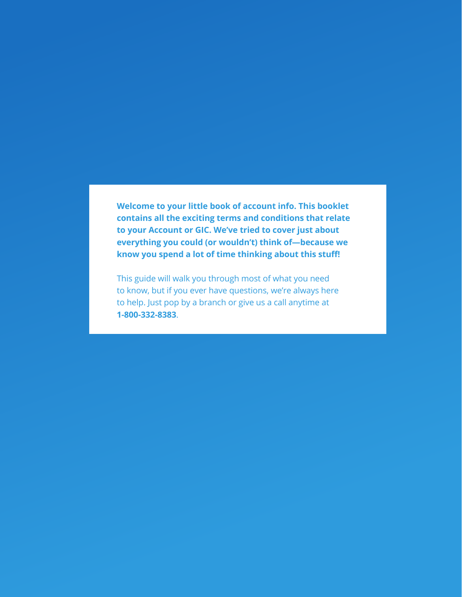**Welcome to your little book of account info. This booklet contains all the exciting terms and conditions that relate to your Account or GIC. We've tried to cover just about everything you could (or wouldn't) think of—because we know you spend a lot of time thinking about this stuff!** 

This guide will walk you through most of what you need to know, but if you ever have questions, we're always here to help. Just pop by a branch or give us a call anytime at **1-800-332-8383**.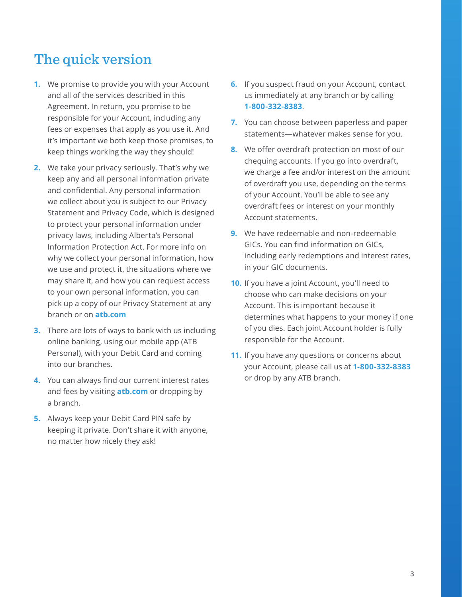# The quick version

- **1.** We promise to provide you with your Account and all of the services described in this Agreement. In return, you promise to be responsible for your Account, including any fees or expenses that apply as you use it. And it's important we both keep those promises, to keep things working the way they should!
- **2.** We take your privacy seriously. That's why we keep any and all personal information private and confidential. Any personal information we collect about you is subject to our Privacy Statement and Privacy Code, which is designed to protect your personal information under privacy laws, including Alberta's Personal Information Protection Act. For more info on why we collect your personal information, how we use and protect it, the situations where we may share it, and how you can request access to your own personal information, you can pick up a copy of our Privacy Statement at any branch or on **atb.com**
- **3.** There are lots of ways to bank with us including online banking, using our mobile app (ATB Personal), with your Debit Card and coming into our branches.
- **4.** You can always find our current interest rates and fees by visiting **atb.com** or dropping by a branch.
- **5.** Always keep your Debit Card PIN safe by keeping it private. Don't share it with anyone, no matter how nicely they ask!
- **6.** If you suspect fraud on your Account, contact us immediately at any branch or by calling **1-800-332-8383**.
- **7.** You can choose between paperless and paper statements—whatever makes sense for you.
- **8.** We offer overdraft protection on most of our chequing accounts. If you go into overdraft, we charge a fee and/or interest on the amount of overdraft you use, depending on the terms of your Account. You'll be able to see any overdraft fees or interest on your monthly Account statements.
- **9.** We have redeemable and non-redeemable GICs. You can find information on GICs, including early redemptions and interest rates, in your GIC documents.
- **10.** If you have a joint Account, you'll need to choose who can make decisions on your Account. This is important because it determines what happens to your money if one of you dies. Each joint Account holder is fully responsible for the Account.
- **11.** If you have any questions or concerns about your Account, please call us at **1-800-332-8383** or drop by any ATB branch.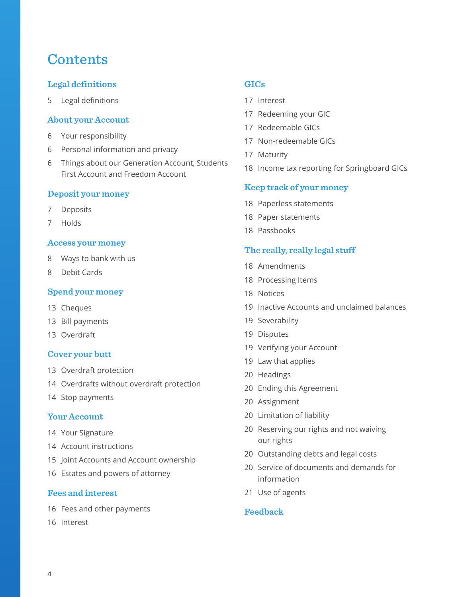# **Contents**

# **[Legal definitions](#page-4-0)**

[Legal definitions](#page-4-0)

### **[About your Account](#page-5-0)**

- [Your responsibility](#page-5-0)
- [Personal information and privacy](#page-5-0)
- [Things about our Generation Account, Students](#page-5-0)  [First Account and Freedom Account](#page-5-0)

### **[Deposit your money](#page-6-0)**

- [Deposits](#page-6-0)
- [Holds](#page-6-0)

#### **[Access your money](#page-7-0)**

- [Ways to bank with us](#page-7-0)
- [Debit Cards](#page-7-0)

### **[Spend your money](#page-12-0)**

- [Cheques](#page-12-0)
- [Bill payments](#page-12-0)
- [Overdraft](#page-12-0)

### **[Cover your butt](#page-12-0)**

- [Overdraft protection](#page-12-0)
- [Overdrafts without overdraft protection](#page-13-0)
- [Stop payments](#page-13-0)

### **[Your Account](#page-13-0)**

- [Your Signature](#page-13-0)
- [Account instructions](#page-13-0)
- [Joint Accounts and Account ownership](#page-14-0)
- [Estates and powers of attorney](#page-15-0)

#### **[Fees and interest](#page-15-0)**

- [Fees and other payments](#page-15-0)
- [Interest](#page-15-0)

# **[GICs](#page-16-0)**

- [Interest](#page-16-0)
- [Redeeming your GIC](#page-16-0)
- [Redeemable GICs](#page-16-0)
- [Non-redeemable GICs](#page-16-0)
- [Maturity](#page-16-0)
- [Income tax reporting for Springboard GICs](#page-17-0)

#### **[Keep track of your money](#page-17-0)**

- [Paperless statements](#page-17-0)
- [Paper statements](#page-17-0)
- [Passbooks](#page-17-0)

### **[The really, really legal stuff](#page-17-0)**

- [Amendments](#page-17-0)
- [Processing Items](#page-17-0)
- [Notices](#page-17-0)
- [Inactive Accounts and unclaimed balances](#page-18-0)
- [Severability](#page-18-0)
- [Disputes](#page-18-0)
- [Verifying your Account](#page-18-0)
- [Law that applies](#page-18-0)
- [Headings](#page-19-0)
- [Ending this Agreement](#page-19-0)
- [Assignment](#page-19-0)
- [Limitation of liability](#page-19-0)
- [Reserving our rights and not waiving](#page-19-0)  [our rights](#page-19-0)
- [Outstanding debts and legal costs](#page-19-0)
- [Service of documents and demands for](#page-19-0)  [information](#page-19-0)
- [Use of agents](#page-20-0)

# **[Feedback](#page-20-0)**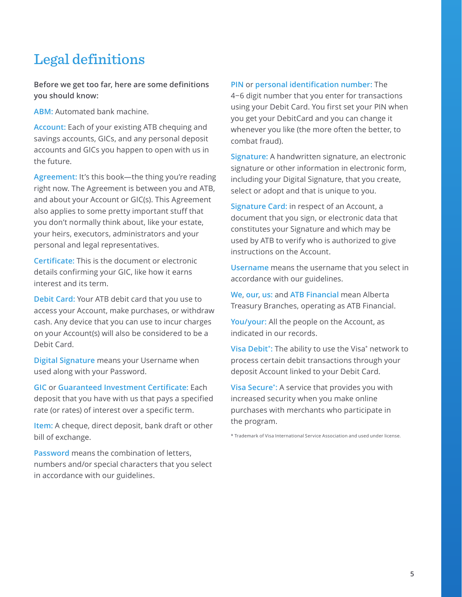# <span id="page-4-0"></span>Legal definitions

**Before we get too far, here are some definitions you should know:**

**ABM:** Automated bank machine.

**Account:** Each of your existing ATB chequing and savings accounts, GICs, and any personal deposit accounts and GICs you happen to open with us in the future.

**Agreement:** It's this book—the thing you're reading right now. The Agreement is between you and ATB, and about your Account or GIC(s). This Agreement also applies to some pretty important stuff that you don't normally think about, like your estate, your heirs, executors, administrators and your personal and legal representatives.

**Certificate:** This is the document or electronic details confirming your GIC, like how it earns interest and its term.

**Debit Card:** Your ATB debit card that you use to access your Account, make purchases, or withdraw cash. Any device that you can use to incur charges on your Account(s) will also be considered to be a Debit Card.

**Digital Signature** means your Username when used along with your Password.

**GIC** or **Guaranteed Investment Certificate:** Each deposit that you have with us that pays a specified rate (or rates) of interest over a specific term.

**Item:** A cheque, direct deposit, bank draft or other bill of exchange.

**Password** means the combination of letters, numbers and/or special characters that you select in accordance with our guidelines.

#### **PIN** or **personal identification number:** The

4−6 digit number that you enter for transactions using your Debit Card. You first set your PIN when you get your DebitCard and you can change it whenever you like (the more often the better, to combat fraud).

**Signature:** A handwritten signature, an electronic signature or other information in electronic form, including your Digital Signature, that you create, select or adopt and that is unique to you.

**Signature Card:** in respect of an Account, a document that you sign, or electronic data that constitutes your Signature and which may be used by ATB to verify who is authorized to give instructions on the Account.

**Username** means the username that you select in accordance with our guidelines.

**We**, **our**, **us:** and **ATB Financial** mean Alberta Treasury Branches, operating as ATB Financial.

**You/your:** All the people on the Account, as indicated in our records.

**Visa Debit\*:** The ability to use the Visa\* network to process certain debit transactions through your deposit Account linked to your Debit Card.

**Visa Secure\*:** A service that provides you with increased security when you make online purchases with merchants who participate in the program.

\* Trademark of Visa International Service Association and used under license.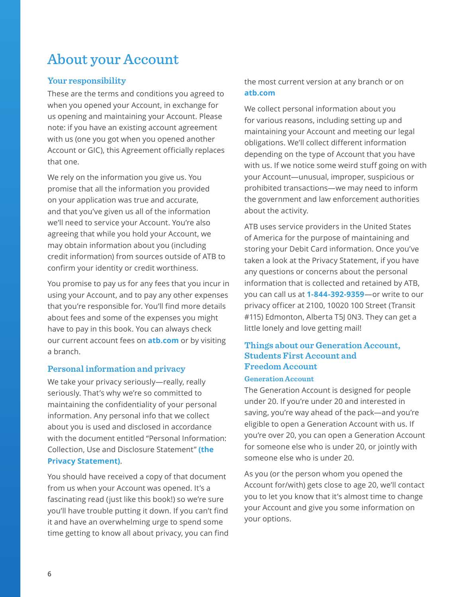# <span id="page-5-0"></span>About your Account

# **Your responsibility**

These are the terms and conditions you agreed to when you opened your Account, in exchange for us opening and maintaining your Account. Please note: if you have an existing account agreement with us (one you got when you opened another Account or GIC), this Agreement officially replaces that one.

We rely on the information you give us. You promise that all the information you provided on your application was true and accurate, and that you've given us all of the information we'll need to service your Account. You're also agreeing that while you hold your Account, we may obtain information about you (including credit information) from sources outside of ATB to confirm your identity or credit worthiness.

You promise to pay us for any fees that you incur in using your Account, and to pay any other expenses that you're responsible for. You'll find more details about fees and some of the expenses you might have to pay in this book. You can always check our current account fees on **atb.com** or by visiting a branch.

### **Personal information and privacy**

We take your privacy seriously—really, really seriously. That's why we're so committed to maintaining the confidentiality of your personal information. Any personal info that we collect about you is used and disclosed in accordance with the document entitled "Personal Information: Collection, Use and Disclosure Statement" **(the Privacy Statement)**.

You should have received a copy of that document from us when your Account was opened. It's a fascinating read (just like this book!) so we're sure you'll have trouble putting it down. If you can't find it and have an overwhelming urge to spend some time getting to know all about privacy, you can find the most current version at any branch or on **atb.com**

We collect personal information about you for various reasons, including setting up and maintaining your Account and meeting our legal obligations. We'll collect different information depending on the type of Account that you have with us. If we notice some weird stuff going on with your Account—unusual, improper, suspicious or prohibited transactions—we may need to inform the government and law enforcement authorities about the activity.

ATB uses service providers in the United States of America for the purpose of maintaining and storing your Debit Card information. Once you've taken a look at the Privacy Statement, if you have any questions or concerns about the personal information that is collected and retained by ATB, you can call us at **1-844-392-9359**—or write to our privacy officer at 2100, 10020 100 Street (Transit #115) Edmonton, Alberta T5J 0N3. They can get a little lonely and love getting mail!

# **Things about our Generation Account, Students First Account and Freedom Account**

#### **Generation Account**

The Generation Account is designed for people under 20. If you're under 20 and interested in saving, you're way ahead of the pack—and you're eligible to open a Generation Account with us. If you're over 20, you can open a Generation Account for someone else who is under 20, or jointly with someone else who is under 20.

As you (or the person whom you opened the Account for/with) gets close to age 20, we'll contact you to let you know that it's almost time to change your Account and give you some information on your options.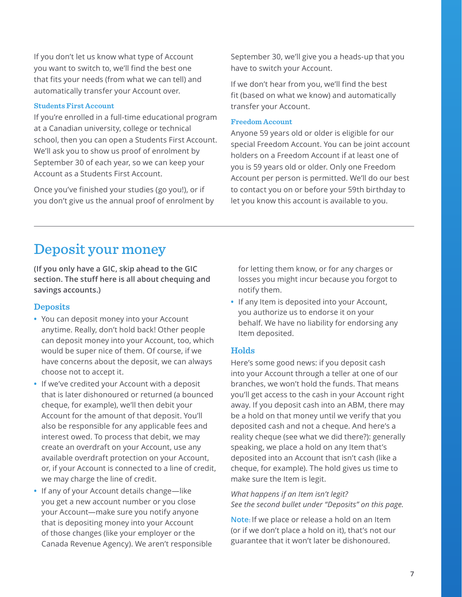**7**

<span id="page-6-0"></span>If you don't let us know what type of Account you want to switch to, we'll find the best one that fits your needs (from what we can tell) and automatically transfer your Account over.

# **Students First Account**

If you're enrolled in a full-time educational program at a Canadian university, college or technical school, then you can open a Students First Account. We'll ask you to show us proof of enrolment by September 30 of each year, so we can keep your Account as a Students First Account.

Once you've finished your studies (go you!), or if you don't give us the annual proof of enrolment by September 30, we'll give you a heads-up that you have to switch your Account.

If we don't hear from you, we'll find the best fit (based on what we know) and automatically transfer your Account.

### **Freedom Account**

Anyone 59 years old or older is eligible for our special Freedom Account. You can be joint account holders on a Freedom Account if at least one of you is 59 years old or older. Only one Freedom Account per person is permitted. We'll do our best to contact you on or before your 59th birthday to let you know this account is available to you.

# Deposit your money

**(If you only have a GIC, skip ahead to the GIC section. The stuff here is all about chequing and savings accounts.)** 

# **Deposits**

- **•** You can deposit money into your Account anytime. Really, don't hold back! Other people can deposit money into your Account, too, which would be super nice of them. Of course, if we have concerns about the deposit, we can always choose not to accept it.
- **•** If we've credited your Account with a deposit that is later dishonoured or returned (a bounced cheque, for example), we'll then debit your Account for the amount of that deposit. You'll also be responsible for any applicable fees and interest owed. To process that debit, we may create an overdraft on your Account, use any available overdraft protection on your Account, or, if your Account is connected to a line of credit, we may charge the line of credit.
- **•** If any of your Account details change—like you get a new account number or you close your Account—make sure you notify anyone that is depositing money into your Account of those changes (like your employer or the Canada Revenue Agency). We aren't responsible

for letting them know, or for any charges or losses you might incur because you forgot to notify them.

**•** If any Item is deposited into your Account, you authorize us to endorse it on your behalf. We have no liability for endorsing any Item deposited.

# **Holds**

Here's some good news: if you deposit cash into your Account through a teller at one of our branches, we won't hold the funds. That means you'll get access to the cash in your Account right away. If you deposit cash into an ABM, there may be a hold on that money until we verify that you deposited cash and not a cheque. And here's a reality cheque (see what we did there?): generally speaking, we place a hold on any Item that's deposited into an Account that isn't cash (like a cheque, for example). The hold gives us time to make sure the Item is legit.

*What happens if an Item isn't legit? See the second bullet under "Deposits" on this page.* 

**Note:** If we place or release a hold on an Item (or if we don't place a hold on it), that's not our guarantee that it won't later be dishonoured.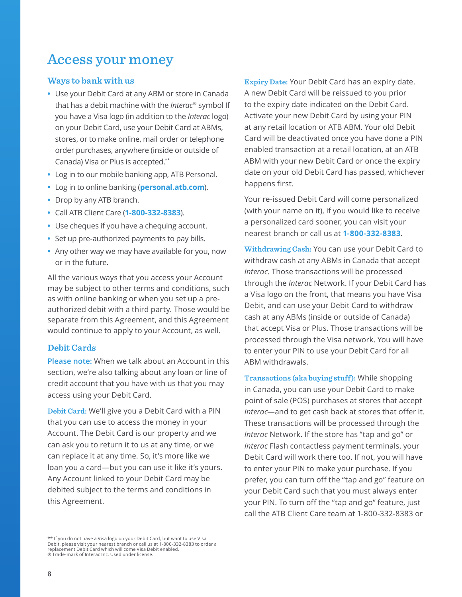# <span id="page-7-0"></span>Access your money

# **Ways to bank with us**

- **•** Use your Debit Card at any ABM or store in Canada that has a debit machine with the *Interac®* symbol If you have a Visa logo (in addition to the *Interac* logo) on your Debit Card, use your Debit Card at ABMs, stores, or to make online, mail order or telephone order purchases, anywhere (inside or outside of Canada) Visa or Plus is accepted.\*\*
- **•** Log in to our mobile banking app, ATB Personal.
- **•** Log in to online banking (**personal.atb.com**).
- **•** Drop by any ATB branch.
- **•** Call ATB Client Care (**1-800-332-8383**).
- **•** Use cheques if you have a chequing account.
- **•** Set up pre-authorized payments to pay bills.
- **•** Any other way we may have available for you, now or in the future.

All the various ways that you access your Account may be subject to other terms and conditions, such as with online banking or when you set up a preauthorized debit with a third party. Those would be separate from this Agreement, and this Agreement would continue to apply to your Account, as well.

### **Debit Cards**

**Please note:** When we talk about an Account in this section, we're also talking about any loan or line of credit account that you have with us that you may access using your Debit Card.

**Debit Card:** We'll give you a Debit Card with a PIN that you can use to access the money in your Account. The Debit Card is our property and we can ask you to return it to us at any time, or we can replace it at any time. So, it's more like we loan you a card—but you can use it like it's yours. Any Account linked to your Debit Card may be debited subject to the terms and conditions in this Agreement.

\*\* If you do not have a Visa logo on your Debit Card, but want to use Visa Debit, please visit your nearest branch or call us at 1-800-332-8383 to order a replacement Debit Card which will come Visa Debit enabled. ® Trade-mark of Interac Inc. Used under license.

**Expiry Date:** Your Debit Card has an expiry date. A new Debit Card will be reissued to you prior to the expiry date indicated on the Debit Card. Activate your new Debit Card by using your PIN at any retail location or ATB ABM. Your old Debit Card will be deactivated once you have done a PIN enabled transaction at a retail location, at an ATB ABM with your new Debit Card or once the expiry date on your old Debit Card has passed, whichever happens first.

Your re-issued Debit Card will come personalized (with your name on it), if you would like to receive a personalized card sooner, you can visit your nearest branch or call us at **1-800-332-8383**.

**Withdrawing Cash:** You can use your Debit Card to withdraw cash at any ABMs in Canada that accept *Interac*. Those transactions will be processed through the *Interac* Network. If your Debit Card has a Visa logo on the front, that means you have Visa Debit, and can use your Debit Card to withdraw cash at any ABMs (inside or outside of Canada) that accept Visa or Plus. Those transactions will be processed through the Visa network. You will have to enter your PIN to use your Debit Card for all ABM withdrawals.

**Transactions (aka buying stuff):** While shopping in Canada, you can use your Debit Card to make point of sale (POS) purchases at stores that accept *Interac*—and to get cash back at stores that offer it. These transactions will be processed through the *Interac* Network. If the store has "tap and go" or *Interac* Flash contactless payment terminals, your Debit Card will work there too. If not, you will have to enter your PIN to make your purchase. If you prefer, you can turn off the "tap and go" feature on your Debit Card such that you must always enter your PIN. To turn off the "tap and go" feature, just call the ATB Client Care team at 1-800-332-8383 or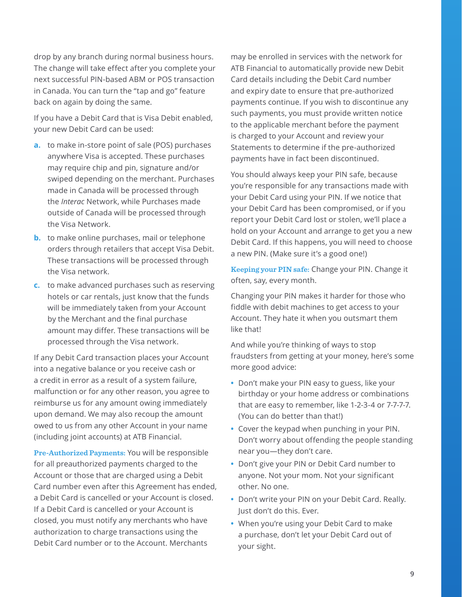drop by any branch during normal business hours. The change will take effect after you complete your next successful PIN-based ABM or POS transaction in Canada. You can turn the "tap and go" feature back on again by doing the same.

If you have a Debit Card that is Visa Debit enabled, your new Debit Card can be used:

- **a.** to make in-store point of sale (POS) purchases anywhere Visa is accepted. These purchases may require chip and pin, signature and/or swiped depending on the merchant. Purchases made in Canada will be processed through the *Interac* Network, while Purchases made outside of Canada will be processed through the Visa Network.
- **b.** to make online purchases, mail or telephone orders through retailers that accept Visa Debit. These transactions will be processed through the Visa network.
- **c.** to make advanced purchases such as reserving hotels or car rentals, just know that the funds will be immediately taken from your Account by the Merchant and the final purchase amount may differ. These transactions will be processed through the Visa network.

If any Debit Card transaction places your Account into a negative balance or you receive cash or a credit in error as a result of a system failure, malfunction or for any other reason, you agree to reimburse us for any amount owing immediately upon demand. We may also recoup the amount owed to us from any other Account in your name (including joint accounts) at ATB Financial.

**Pre-Authorized Payments:** You will be responsible for all preauthorized payments charged to the Account or those that are charged using a Debit Card number even after this Agreement has ended, a Debit Card is cancelled or your Account is closed. If a Debit Card is cancelled or your Account is closed, you must notify any merchants who have authorization to charge transactions using the Debit Card number or to the Account. Merchants

may be enrolled in services with the network for ATB Financial to automatically provide new Debit Card details including the Debit Card number and expiry date to ensure that pre-authorized payments continue. If you wish to discontinue any such payments, you must provide written notice to the applicable merchant before the payment is charged to your Account and review your Statements to determine if the pre-authorized payments have in fact been discontinued.

You should always keep your PIN safe, because you're responsible for any transactions made with your Debit Card using your PIN. If we notice that your Debit Card has been compromised, or if you report your Debit Card lost or stolen, we'll place a hold on your Account and arrange to get you a new Debit Card. If this happens, you will need to choose a new PIN. (Make sure it's a good one!)

**Keeping your PIN safe:** Change your PIN. Change it often, say, every month.

Changing your PIN makes it harder for those who fiddle with debit machines to get access to your Account. They hate it when you outsmart them like that!

And while you're thinking of ways to stop fraudsters from getting at your money, here's some more good advice:

- **•** Don't make your PIN easy to guess, like your birthday or your home address or combinations that are easy to remember, like 1-2-3-4 or 7-7-7-7. (You can do better than that!)
- **•** Cover the keypad when punching in your PIN. Don't worry about offending the people standing near you—they don't care.
- **•** Don't give your PIN or Debit Card number to anyone. Not your mom. Not your significant other. No one.
- **•** Don't write your PIN on your Debit Card. Really. Just don't do this. Ever.
- **•** When you're using your Debit Card to make a purchase, don't let your Debit Card out of your sight.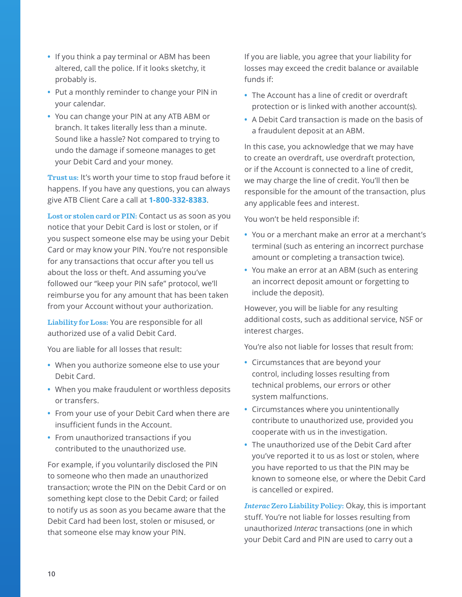- **•** If you think a pay terminal or ABM has been altered, call the police. If it looks sketchy, it probably is.
- **•** Put a monthly reminder to change your PIN in your calendar.
- **•** You can change your PIN at any ATB ABM or branch. It takes literally less than a minute. Sound like a hassle? Not compared to trying to undo the damage if someone manages to get your Debit Card and your money.

**Trust us:** It's worth your time to stop fraud before it happens. If you have any questions, you can always give ATB Client Care a call at **1-800-332-8383**.

**Lost or stolen card or PIN:** Contact us as soon as you notice that your Debit Card is lost or stolen, or if you suspect someone else may be using your Debit Card or may know your PIN. You're not responsible for any transactions that occur after you tell us about the loss or theft. And assuming you've followed our "keep your PIN safe" protocol, we'll reimburse you for any amount that has been taken from your Account without your authorization.

**Liability for Loss:** You are responsible for all authorized use of a valid Debit Card.

You are liable for all losses that result:

- **•** When you authorize someone else to use your Debit Card.
- **•** When you make fraudulent or worthless deposits or transfers.
- **•** From your use of your Debit Card when there are insufficient funds in the Account.
- **•** From unauthorized transactions if you contributed to the unauthorized use.

For example, if you voluntarily disclosed the PIN to someone who then made an unauthorized transaction; wrote the PIN on the Debit Card or on something kept close to the Debit Card; or failed to notify us as soon as you became aware that the Debit Card had been lost, stolen or misused, or that someone else may know your PIN.

If you are liable, you agree that your liability for losses may exceed the credit balance or available funds if:

- **•** The Account has a line of credit or overdraft protection or is linked with another account(s).
- **•** A Debit Card transaction is made on the basis of a fraudulent deposit at an ABM.

In this case, you acknowledge that we may have to create an overdraft, use overdraft protection, or if the Account is connected to a line of credit, we may charge the line of credit. You'll then be responsible for the amount of the transaction, plus any applicable fees and interest.

You won't be held responsible if:

- **•** You or a merchant make an error at a merchant's terminal (such as entering an incorrect purchase amount or completing a transaction twice).
- **•** You make an error at an ABM (such as entering an incorrect deposit amount or forgetting to include the deposit).

However, you will be liable for any resulting additional costs, such as additional service, NSF or interest charges.

You're also not liable for losses that result from:

- **•** Circumstances that are beyond your control, including losses resulting from technical problems, our errors or other system malfunctions.
- **•** Circumstances where you unintentionally contribute to unauthorized use, provided you cooperate with us in the investigation.
- **•** The unauthorized use of the Debit Card after you've reported it to us as lost or stolen, where you have reported to us that the PIN may be known to someone else, or where the Debit Card is cancelled or expired.

*Interac* **Zero Liability Policy:** Okay, this is important stuff. You're not liable for losses resulting from unauthorized *Interac* transactions (one in which your Debit Card and PIN are used to carry out a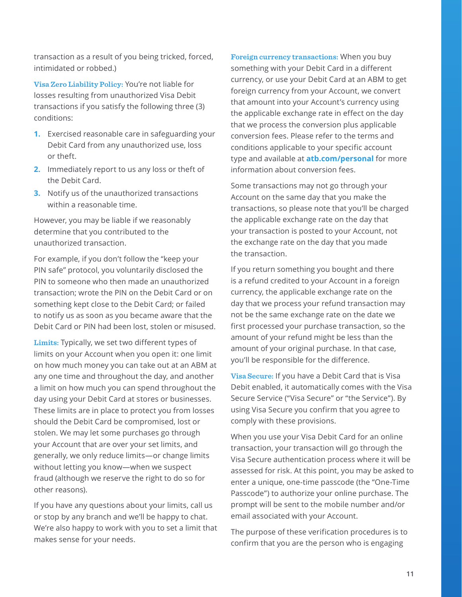transaction as a result of you being tricked, forced, intimidated or robbed.)

**Visa Zero Liability Policy:** You're not liable for losses resulting from unauthorized Visa Debit transactions if you satisfy the following three (3) conditions:

- **1.** Exercised reasonable care in safeguarding your Debit Card from any unauthorized use, loss or theft.
- **2.** Immediately report to us any loss or theft of the Debit Card.
- **3.** Notify us of the unauthorized transactions within a reasonable time.

However, you may be liable if we reasonably determine that you contributed to the unauthorized transaction.

For example, if you don't follow the "keep your PIN safe" protocol, you voluntarily disclosed the PIN to someone who then made an unauthorized transaction; wrote the PIN on the Debit Card or on something kept close to the Debit Card; or failed to notify us as soon as you became aware that the Debit Card or PIN had been lost, stolen or misused.

**Limits:** Typically, we set two different types of limits on your Account when you open it: one limit on how much money you can take out at an ABM at any one time and throughout the day, and another a limit on how much you can spend throughout the day using your Debit Card at stores or businesses. These limits are in place to protect you from losses should the Debit Card be compromised, lost or stolen. We may let some purchases go through your Account that are over your set limits, and generally, we only reduce limits—or change limits without letting you know—when we suspect fraud (although we reserve the right to do so for other reasons).

If you have any questions about your limits, call us or stop by any branch and we'll be happy to chat. We're also happy to work with you to set a limit that makes sense for your needs.

**Foreign currency transactions:** When you buy something with your Debit Card in a different currency, or use your Debit Card at an ABM to get foreign currency from your Account, we convert that amount into your Account's currency using the applicable exchange rate in effect on the day that we process the conversion plus applicable conversion fees. Please refer to the terms and conditions applicable to your specific account type and available at **atb.com/personal** for more information about conversion fees.

Some transactions may not go through your Account on the same day that you make the transactions, so please note that you'll be charged the applicable exchange rate on the day that your transaction is posted to your Account, not the exchange rate on the day that you made the transaction.

If you return something you bought and there is a refund credited to your Account in a foreign currency, the applicable exchange rate on the day that we process your refund transaction may not be the same exchange rate on the date we first processed your purchase transaction, so the amount of your refund might be less than the amount of your original purchase. In that case, you'll be responsible for the difference.

**Visa Secure:** If you have a Debit Card that is Visa Debit enabled, it automatically comes with the Visa Secure Service ("Visa Secure" or "the Service"). By using Visa Secure you confirm that you agree to comply with these provisions.

When you use your Visa Debit Card for an online transaction, your transaction will go through the Visa Secure authentication process where it will be assessed for risk. At this point, you may be asked to enter a unique, one-time passcode (the "One-Time Passcode") to authorize your online purchase. The prompt will be sent to the mobile number and/or email associated with your Account.

The purpose of these verification procedures is to confirm that you are the person who is engaging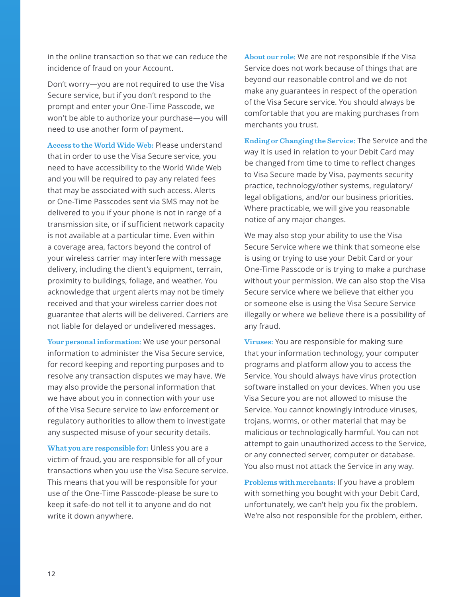in the online transaction so that we can reduce the incidence of fraud on your Account.

Don't worry—you are not required to use the Visa Secure service, but if you don't respond to the prompt and enter your One-Time Passcode, we won't be able to authorize your purchase—you will need to use another form of payment.

**Access to the World Wide Web:** Please understand that in order to use the Visa Secure service, you need to have accessibility to the World Wide Web and you will be required to pay any related fees that may be associated with such access. Alerts or One-Time Passcodes sent via SMS may not be delivered to you if your phone is not in range of a transmission site, or if sufficient network capacity is not available at a particular time. Even within a coverage area, factors beyond the control of your wireless carrier may interfere with message delivery, including the client's equipment, terrain, proximity to buildings, foliage, and weather. You acknowledge that urgent alerts may not be timely received and that your wireless carrier does not guarantee that alerts will be delivered. Carriers are not liable for delayed or undelivered messages.

**Your personal information:** We use your personal information to administer the Visa Secure service, for record keeping and reporting purposes and to resolve any transaction disputes we may have. We may also provide the personal information that we have about you in connection with your use of the Visa Secure service to law enforcement or regulatory authorities to allow them to investigate any suspected misuse of your security details.

**What you are responsible for:** Unless you are a victim of fraud, you are responsible for all of your transactions when you use the Visa Secure service. This means that you will be responsible for your use of the One-Time Passcode-please be sure to keep it safe-do not tell it to anyone and do not write it down anywhere.

**About our role:** We are not responsible if the Visa Service does not work because of things that are beyond our reasonable control and we do not make any guarantees in respect of the operation of the Visa Secure service. You should always be comfortable that you are making purchases from merchants you trust.

**Ending or Changing the Service:** The Service and the way it is used in relation to your Debit Card may be changed from time to time to reflect changes to Visa Secure made by Visa, payments security practice, technology/other systems, regulatory/ legal obligations, and/or our business priorities. Where practicable, we will give you reasonable notice of any major changes.

We may also stop your ability to use the Visa Secure Service where we think that someone else is using or trying to use your Debit Card or your One-Time Passcode or is trying to make a purchase without your permission. We can also stop the Visa Secure service where we believe that either you or someone else is using the Visa Secure Service illegally or where we believe there is a possibility of any fraud.

**Viruses:** You are responsible for making sure that your information technology, your computer programs and platform allow you to access the Service. You should always have virus protection software installed on your devices. When you use Visa Secure you are not allowed to misuse the Service. You cannot knowingly introduce viruses, trojans, worms, or other material that may be malicious or technologically harmful. You can not attempt to gain unauthorized access to the Service, or any connected server, computer or database. You also must not attack the Service in any way.

**Problems with merchants:** If you have a problem with something you bought with your Debit Card, unfortunately, we can't help you fix the problem. We're also not responsible for the problem, either.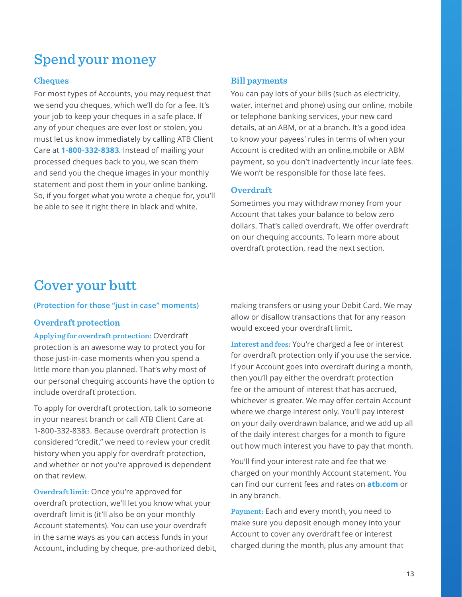# <span id="page-12-0"></span>Spend your money

# **Cheques**

For most types of Accounts, you may request that we send you cheques, which we'll do for a fee. It's your job to keep your cheques in a safe place. If any of your cheques are ever lost or stolen, you must let us know immediately by calling ATB Client Care at **1-800-332-8383**. Instead of mailing your processed cheques back to you, we scan them and send you the cheque images in your monthly statement and post them in your online banking. So, if you forget what you wrote a cheque for, you'll be able to see it right there in black and white.

# **Bill payments**

You can pay lots of your bills (such as electricity, water, internet and phone) using our online, mobile or telephone banking services, your new card details, at an ABM, or at a branch. It's a good idea to know your payees' rules in terms of when your Account is credited with an online,mobile or ABM payment, so you don't inadvertently incur late fees. We won't be responsible for those late fees.

# **Overdraft**

Sometimes you may withdraw money from your Account that takes your balance to below zero dollars. That's called overdraft. We offer overdraft on our chequing accounts. To learn more about overdraft protection, read the next section.

# Cover your butt

### **(Protection for those "just in case" moments)**

# **Overdraft protection**

**Applying for overdraft protection:** Overdraft protection is an awesome way to protect you for those just-in-case moments when you spend a little more than you planned. That's why most of our personal chequing accounts have the option to include overdraft protection.

To apply for overdraft protection, talk to someone in your nearest branch or call ATB Client Care at 1-800-332-8383. Because overdraft protection is considered "credit," we need to review your credit history when you apply for overdraft protection, and whether or not you're approved is dependent on that review.

**Overdraft limit:** Once you're approved for overdraft protection, we'll let you know what your overdraft limit is (it'll also be on your monthly Account statements). You can use your overdraft in the same ways as you can access funds in your Account, including by cheque, pre-authorized debit, making transfers or using your Debit Card. We may allow or disallow transactions that for any reason would exceed your overdraft limit.

**Interest and fees:** You're charged a fee or interest for overdraft protection only if you use the service. If your Account goes into overdraft during a month, then you'll pay either the overdraft protection fee or the amount of interest that has accrued, whichever is greater. We may offer certain Account where we charge interest only. You'll pay interest on your daily overdrawn balance, and we add up all of the daily interest charges for a month to figure out how much interest you have to pay that month.

You'll find your interest rate and fee that we charged on your monthly Account statement. You can find our current fees and rates on **atb.com** or in any branch.

**Payment:** Each and every month, you need to make sure you deposit enough money into your Account to cover any overdraft fee or interest charged during the month, plus any amount that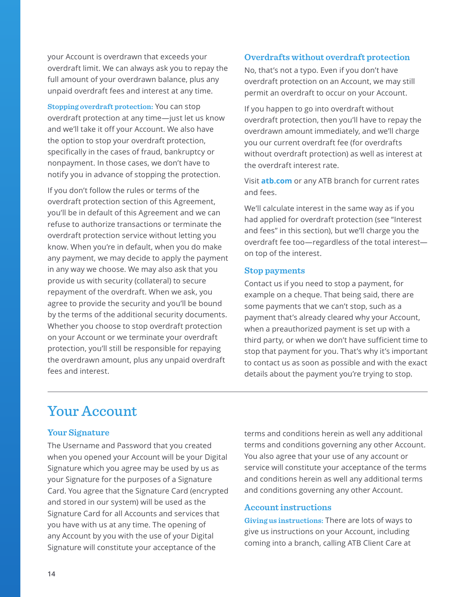<span id="page-13-0"></span>your Account is overdrawn that exceeds your overdraft limit. We can always ask you to repay the full amount of your overdrawn balance, plus any unpaid overdraft fees and interest at any time.

**Stopping overdraft protection:** You can stop overdraft protection at any time—just let us know and we'll take it off your Account. We also have the option to stop your overdraft protection, specifically in the cases of fraud, bankruptcy or nonpayment. In those cases, we don't have to notify you in advance of stopping the protection.

If you don't follow the rules or terms of the overdraft protection section of this Agreement, you'll be in default of this Agreement and we can refuse to authorize transactions or terminate the overdraft protection service without letting you know. When you're in default, when you do make any payment, we may decide to apply the payment in any way we choose. We may also ask that you provide us with security (collateral) to secure repayment of the overdraft. When we ask, you agree to provide the security and you'll be bound by the terms of the additional security documents. Whether you choose to stop overdraft protection on your Account or we terminate your overdraft protection, you'll still be responsible for repaying the overdrawn amount, plus any unpaid overdraft fees and interest.

# **Overdrafts without overdraft protection**

No, that's not a typo. Even if you don't have overdraft protection on an Account, we may still permit an overdraft to occur on your Account.

If you happen to go into overdraft without overdraft protection, then you'll have to repay the overdrawn amount immediately, and we'll charge you our current overdraft fee (for overdrafts without overdraft protection) as well as interest at the overdraft interest rate.

Visit **atb.com** or any ATB branch for current rates and fees.

We'll calculate interest in the same way as if you had applied for overdraft protection (see "Interest and fees" in this section), but we'll charge you the overdraft fee too—regardless of the total interest on top of the interest.

### **Stop payments**

Contact us if you need to stop a payment, for example on a cheque. That being said, there are some payments that we can't stop, such as a payment that's already cleared why your Account, when a preauthorized payment is set up with a third party, or when we don't have sufficient time to stop that payment for you. That's why it's important to contact us as soon as possible and with the exact details about the payment you're trying to stop.

# Your Account

# **Your Signature**

The Username and Password that you created when you opened your Account will be your Digital Signature which you agree may be used by us as your Signature for the purposes of a Signature Card. You agree that the Signature Card (encrypted and stored in our system) will be used as the Signature Card for all Accounts and services that you have with us at any time. The opening of any Account by you with the use of your Digital Signature will constitute your acceptance of the

terms and conditions herein as well any additional terms and conditions governing any other Account. You also agree that your use of any account or service will constitute your acceptance of the terms and conditions herein as well any additional terms and conditions governing any other Account.

### **Account instructions**

**Giving us instructions:** There are lots of ways to give us instructions on your Account, including coming into a branch, calling ATB Client Care at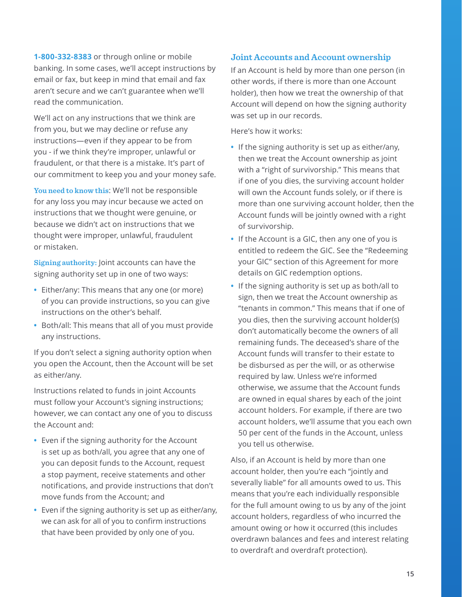<span id="page-14-0"></span>**1-800-332-8383** or through online or mobile banking. In some cases, we'll accept instructions by email or fax, but keep in mind that email and fax aren't secure and we can't guarantee when we'll read the communication.

We'll act on any instructions that we think are from you, but we may decline or refuse any instructions—even if they appear to be from you - if we think they're improper, unlawful or fraudulent, or that there is a mistake. It's part of our commitment to keep you and your money safe.

**You need to know this**: We'll not be responsible for any loss you may incur because we acted on instructions that we thought were genuine, or because we didn't act on instructions that we thought were improper, unlawful, fraudulent or mistaken.

**Signing authority:** Joint accounts can have the signing authority set up in one of two ways:

- **•** Either/any: This means that any one (or more) of you can provide instructions, so you can give instructions on the other's behalf.
- **•** Both/all: This means that all of you must provide any instructions.

If you don't select a signing authority option when you open the Account, then the Account will be set as either/any.

Instructions related to funds in joint Accounts must follow your Account's signing instructions; however, we can contact any one of you to discuss the Account and:

- **•** Even if the signing authority for the Account is set up as both/all, you agree that any one of you can deposit funds to the Account, request a stop payment, receive statements and other notifications, and provide instructions that don't move funds from the Account; and
- **•** Even if the signing authority is set up as either/any, we can ask for all of you to confirm instructions that have been provided by only one of you.

# **Joint Accounts and Account ownership**

If an Account is held by more than one person (in other words, if there is more than one Account holder), then how we treat the ownership of that Account will depend on how the signing authority was set up in our records.

Here's how it works:

- **•** If the signing authority is set up as either/any, then we treat the Account ownership as joint with a "right of survivorship." This means that if one of you dies, the surviving account holder will own the Account funds solely, or if there is more than one surviving account holder, then the Account funds will be jointly owned with a right of survivorship.
- **•** If the Account is a GIC, then any one of you is entitled to redeem the GIC. See the "Redeeming your GIC" section of this Agreement for more details on GIC redemption options.
- **•** If the signing authority is set up as both/all to sign, then we treat the Account ownership as "tenants in common." This means that if one of you dies, then the surviving account holder(s) don't automatically become the owners of all remaining funds. The deceased's share of the Account funds will transfer to their estate to be disbursed as per the will, or as otherwise required by law. Unless we're informed otherwise, we assume that the Account funds are owned in equal shares by each of the joint account holders. For example, if there are two account holders, we'll assume that you each own 50 per cent of the funds in the Account, unless you tell us otherwise.

Also, if an Account is held by more than one account holder, then you're each "jointly and severally liable" for all amounts owed to us. This means that you're each individually responsible for the full amount owing to us by any of the joint account holders, regardless of who incurred the amount owing or how it occurred (this includes overdrawn balances and fees and interest relating to overdraft and overdraft protection).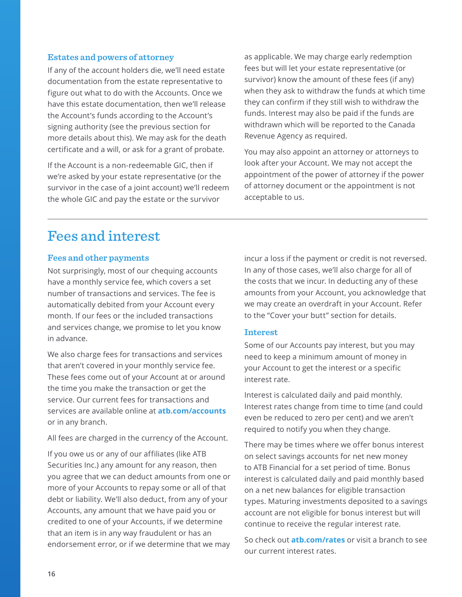#### <span id="page-15-0"></span>**Estates and powers of attorney**

If any of the account holders die, we'll need estate documentation from the estate representative to figure out what to do with the Accounts. Once we have this estate documentation, then we'll release the Account's funds according to the Account's signing authority (see the previous section for more details about this). We may ask for the death certificate and a will, or ask for a grant of probate.

If the Account is a non-redeemable GIC, then if we're asked by your estate representative (or the survivor in the case of a joint account) we'll redeem the whole GIC and pay the estate or the survivor

as applicable. We may charge early redemption fees but will let your estate representative (or survivor) know the amount of these fees (if any) when they ask to withdraw the funds at which time they can confirm if they still wish to withdraw the funds. Interest may also be paid if the funds are withdrawn which will be reported to the Canada Revenue Agency as required.

You may also appoint an attorney or attorneys to look after your Account. We may not accept the appointment of the power of attorney if the power of attorney document or the appointment is not acceptable to us.

# Fees and interest

#### **Fees and other payments**

Not surprisingly, most of our chequing accounts have a monthly service fee, which covers a set number of transactions and services. The fee is automatically debited from your Account every month. If our fees or the included transactions and services change, we promise to let you know in advance.

We also charge fees for transactions and services that aren't covered in your monthly service fee. These fees come out of your Account at or around the time you make the transaction or get the service. Our current fees for transactions and services are available online at **atb.com/accounts** or in any branch.

All fees are charged in the currency of the Account.

If you owe us or any of our affiliates (like ATB Securities Inc.) any amount for any reason, then you agree that we can deduct amounts from one or more of your Accounts to repay some or all of that debt or liability. We'll also deduct, from any of your Accounts, any amount that we have paid you or credited to one of your Accounts, if we determine that an item is in any way fraudulent or has an endorsement error, or if we determine that we may incur a loss if the payment or credit is not reversed. In any of those cases, we'll also charge for all of the costs that we incur. In deducting any of these amounts from your Account, you acknowledge that we may create an overdraft in your Account. Refer to the "Cover your butt" section for details.

#### **Interest**

Some of our Accounts pay interest, but you may need to keep a minimum amount of money in your Account to get the interest or a specific interest rate.

Interest is calculated daily and paid monthly. Interest rates change from time to time (and could even be reduced to zero per cent) and we aren't required to notify you when they change.

There may be times where we offer bonus interest on select savings accounts for net new money to ATB Financial for a set period of time. Bonus interest is calculated daily and paid monthly based on a net new balances for eligible transaction types. Maturing investments deposited to a savings account are not eligible for bonus interest but will continue to receive the regular interest rate.

So check out **atb.com/rates** or visit a branch to see our current interest rates.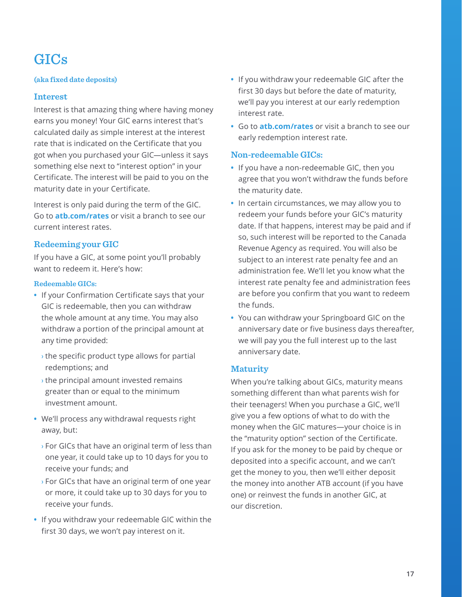# <span id="page-16-0"></span>GICs

# **(aka fixed date deposits)**

# **Interest**

Interest is that amazing thing where having money earns you money! Your GIC earns interest that's calculated daily as simple interest at the interest rate that is indicated on the Certificate that you got when you purchased your GIC—unless it says something else next to "interest option" in your Certificate. The interest will be paid to you on the maturity date in your Certificate.

Interest is only paid during the term of the GIC. Go to **atb.com/rates** or visit a branch to see our current interest rates.

# **Redeeming your GIC**

If you have a GIC, at some point you'll probably want to redeem it. Here's how:

#### **Redeemable GICs:**

- **•** If your Confirmation Certificate says that your GIC is redeemable, then you can withdraw the whole amount at any time. You may also withdraw a portion of the principal amount at any time provided:
	- **›** the specific product type allows for partial redemptions; and
	- **›** the principal amount invested remains greater than or equal to the minimum investment amount.
- **•** We'll process any withdrawal requests right away, but:
	- **›** For GICs that have an original term of less than one year, it could take up to 10 days for you to receive your funds; and
	- **›** For GICs that have an original term of one year or more, it could take up to 30 days for you to receive your funds.
- **•** If you withdraw your redeemable GIC within the first 30 days, we won't pay interest on it.
- **•** If you withdraw your redeemable GIC after the first 30 days but before the date of maturity, we'll pay you interest at our early redemption interest rate.
- **•** Go to **atb.com/rates** or visit a branch to see our early redemption interest rate.

#### **Non-redeemable GICs:**

- **•** If you have a non-redeemable GIC, then you agree that you won't withdraw the funds before the maturity date.
- **•** In certain circumstances, we may allow you to redeem your funds before your GIC's maturity date. If that happens, interest may be paid and if so, such interest will be reported to the Canada Revenue Agency as required. You will also be subject to an interest rate penalty fee and an administration fee. We'll let you know what the interest rate penalty fee and administration fees are before you confirm that you want to redeem the funds.
- **•** You can withdraw your Springboard GIC on the anniversary date or five business days thereafter, we will pay you the full interest up to the last anniversary date.

# **Maturity**

When you're talking about GICs, maturity means something different than what parents wish for their teenagers! When you purchase a GIC, we'll give you a few options of what to do with the money when the GIC matures—your choice is in the "maturity option" section of the Certificate. If you ask for the money to be paid by cheque or deposited into a specific account, and we can't get the money to you, then we'll either deposit the money into another ATB account (if you have one) or reinvest the funds in another GIC, at our discretion.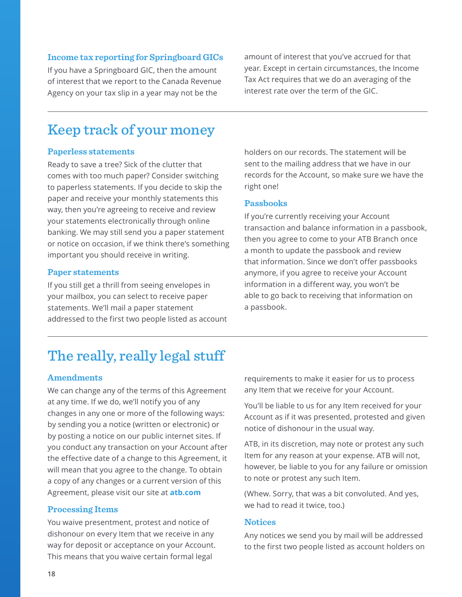#### <span id="page-17-0"></span>**Income tax reporting for Springboard GICs**

If you have a Springboard GIC, then the amount of interest that we report to the Canada Revenue Agency on your tax slip in a year may not be the

amount of interest that you've accrued for that year. Except in certain circumstances, the Income Tax Act requires that we do an averaging of the interest rate over the term of the GIC.

# Keep track of your money

#### **Paperless statements**

Ready to save a tree? Sick of the clutter that comes with too much paper? Consider switching to paperless statements. If you decide to skip the paper and receive your monthly statements this way, then you're agreeing to receive and review your statements electronically through online banking. We may still send you a paper statement or notice on occasion, if we think there's something important you should receive in writing.

#### **Paper statements**

If you still get a thrill from seeing envelopes in your mailbox, you can select to receive paper statements. We'll mail a paper statement addressed to the first two people listed as account holders on our records. The statement will be sent to the mailing address that we have in our records for the Account, so make sure we have the right one!

### **Passbooks**

If you're currently receiving your Account transaction and balance information in a passbook, then you agree to come to your ATB Branch once a month to update the passbook and review that information. Since we don't offer passbooks anymore, if you agree to receive your Account information in a different way, you won't be able to go back to receiving that information on a passbook.

# The really, really legal stuff

#### **Amendments**

We can change any of the terms of this Agreement at any time. If we do, we'll notify you of any changes in any one or more of the following ways: by sending you a notice (written or electronic) or by posting a notice on our public internet sites. If you conduct any transaction on your Account after the effective date of a change to this Agreement, it will mean that you agree to the change. To obtain a copy of any changes or a current version of this Agreement, please visit our site at **atb.com**

#### **Processing Items**

You waive presentment, protest and notice of dishonour on every Item that we receive in any way for deposit or acceptance on your Account. This means that you waive certain formal legal

requirements to make it easier for us to process any Item that we receive for your Account.

You'll be liable to us for any Item received for your Account as if it was presented, protested and given notice of dishonour in the usual way.

ATB, in its discretion, may note or protest any such Item for any reason at your expense. ATB will not, however, be liable to you for any failure or omission to note or protest any such Item.

(Whew. Sorry, that was a bit convoluted. And yes, we had to read it twice, too.)

#### **Notices**

Any notices we send you by mail will be addressed to the first two people listed as account holders on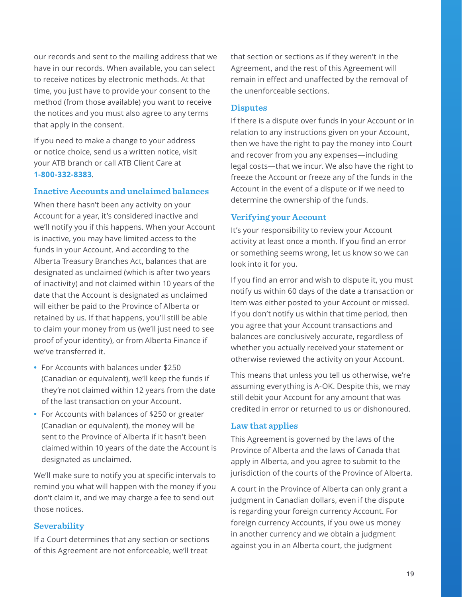<span id="page-18-0"></span>our records and sent to the mailing address that we have in our records. When available, you can select to receive notices by electronic methods. At that time, you just have to provide your consent to the method (from those available) you want to receive the notices and you must also agree to any terms that apply in the consent.

If you need to make a change to your address or notice choice, send us a written notice, visit your ATB branch or call ATB Client Care at **1-800-332-8383**.

#### **Inactive Accounts and unclaimed balances**

When there hasn't been any activity on your Account for a year, it's considered inactive and we'll notify you if this happens. When your Account is inactive, you may have limited access to the funds in your Account. And according to the Alberta Treasury Branches Act, balances that are designated as unclaimed (which is after two years of inactivity) and not claimed within 10 years of the date that the Account is designated as unclaimed will either be paid to the Province of Alberta or retained by us. If that happens, you'll still be able to claim your money from us (we'll just need to see proof of your identity), or from Alberta Finance if we've transferred it.

- **•** For Accounts with balances under \$250 (Canadian or equivalent), we'll keep the funds if they're not claimed within 12 years from the date of the last transaction on your Account.
- **•** For Accounts with balances of \$250 or greater (Canadian or equivalent), the money will be sent to the Province of Alberta if it hasn't been claimed within 10 years of the date the Account is designated as unclaimed.

We'll make sure to notify you at specific intervals to remind you what will happen with the money if you don't claim it, and we may charge a fee to send out those notices.

#### **Severability**

If a Court determines that any section or sections of this Agreement are not enforceable, we'll treat

that section or sections as if they weren't in the Agreement, and the rest of this Agreement will remain in effect and unaffected by the removal of the unenforceable sections.

#### **Disputes**

If there is a dispute over funds in your Account or in relation to any instructions given on your Account, then we have the right to pay the money into Court and recover from you any expenses—including legal costs—that we incur. We also have the right to freeze the Account or freeze any of the funds in the Account in the event of a dispute or if we need to determine the ownership of the funds.

#### **Verifying your Account**

It's your responsibility to review your Account activity at least once a month. If you find an error or something seems wrong, let us know so we can look into it for you.

If you find an error and wish to dispute it, you must notify us within 60 days of the date a transaction or Item was either posted to your Account or missed. If you don't notify us within that time period, then you agree that your Account transactions and balances are conclusively accurate, regardless of whether you actually received your statement or otherwise reviewed the activity on your Account.

This means that unless you tell us otherwise, we're assuming everything is A-OK. Despite this, we may still debit your Account for any amount that was credited in error or returned to us or dishonoured.

#### **Law that applies**

This Agreement is governed by the laws of the Province of Alberta and the laws of Canada that apply in Alberta, and you agree to submit to the jurisdiction of the courts of the Province of Alberta.

A court in the Province of Alberta can only grant a judgment in Canadian dollars, even if the dispute is regarding your foreign currency Account. For foreign currency Accounts, if you owe us money in another currency and we obtain a judgment against you in an Alberta court, the judgment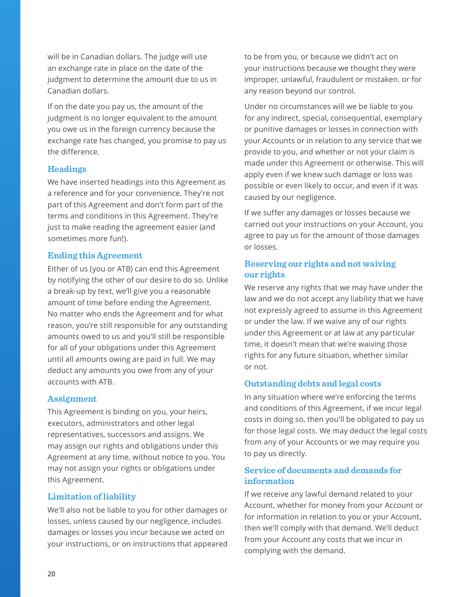<span id="page-19-0"></span>will be in Canadian dollars. The judge will use an exchange rate in place on the date of the judgment to determine the amount due to us in Canadian dollars.

If on the date you pay us, the amount of the judgment is no longer equivalent to the amount you owe us in the foreign currency because the exchange rate has changed, you promise to pay us the difference.

### **Headings**

We have inserted headings into this Agreement as a reference and for your convenience. They're not part of this Agreement and don't form part of the terms and conditions in this Agreement. They're just to make reading the agreement easier (and sometimes more fun!).

### **Ending this Agreement**

Either of us (you or ATB) can end this Agreement by notifying the other of our desire to do so. Unlike a break-up by text, we'll give you a reasonable amount of time before ending the Agreement. No matter who ends the Agreement and for what reason, you're still responsible for any outstanding amounts owed to us and you'll still be responsible for all of your obligations under this Agreement until all amounts owing are paid in full. We may deduct any amounts you owe from any of your accounts with ATB.

### **Assignment**

This Agreement is binding on you, your heirs, executors, administrators and other legal representatives, successors and assigns. We may assign our rights and obligations under this Agreement at any time, without notice to you. You may not assign your rights or obligations under this Agreement.

### **Limitation of liability**

We'll also not be liable to you for other damages or losses, unless caused by our negligence, includes damages or losses you incur because we acted on your instructions, or on instructions that appeared

to be from you, or because we didn't act on your instructions because we thought they were improper, unlawful, fraudulent or mistaken. or for any reason beyond our control.

Under no circumstances will we be liable to you for any indirect, special, consequential, exemplary or punitive damages or losses in connection with your Accounts or in relation to any service that we provide to you, and whether or not your claim is made under this Agreement or otherwise. This will apply even if we knew such damage or loss was possible or even likely to occur, and even if it was caused by our negligence.

If we suffer any damages or losses because we carried out your instructions on your Account, you agree to pay us for the amount of those damages or losses.

# **Reserving our rights and not waiving our rights**

We reserve any rights that we may have under the law and we do not accept any liability that we have not expressly agreed to assume in this Agreement or under the law. If we waive any of our rights under this Agreement or at law at any particular time, it doesn't mean that we're waiving those rights for any future situation, whether similar or not.

### **Outstanding debts and legal costs**

In any situation where we're enforcing the terms and conditions of this Agreement, if we incur legal costs in doing so, then you'll be obligated to pay us for those legal costs. We may deduct the legal costs from any of your Accounts or we may require you to pay us directly.

# **Service of documents and demands for information**

If we receive any lawful demand related to your Account, whether for money from your Account or for information in relation to you or your Account, then we'll comply with that demand. We'll deduct from your Account any costs that we incur in complying with the demand.